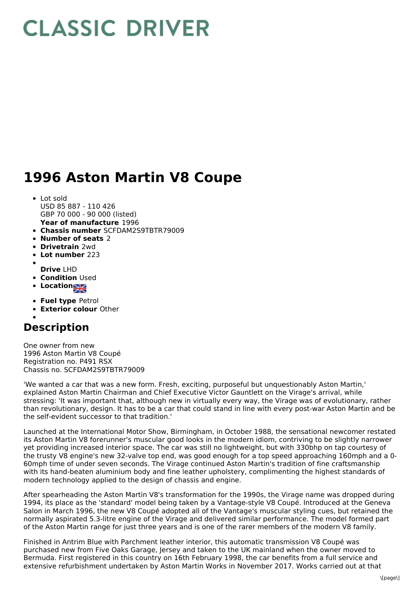## **CLASSIC DRIVER**

## **1996 Aston Martin V8 Coupe**

- Lot sold USD 85 887 - 110 426 GBP 70 000 - 90 000 (listed)
- **Year of manufacture** 1996
- **Chassis number** SCFDAM2S9TBTR79009
- **Number of seats** 2
- **Drivetrain** 2wd
- **Lot number** 223  $\bullet$
- **Drive** LHD
- **Condition Used**
- **Location**
- **Fuel type** Petrol
- **Exterior colour** Other

## **Description**

One owner from new 1996 Aston Martin V8 Coupé Registration no. P491 RSX Chassis no. SCFDAM2S9TBTR79009

'We wanted a car that was a new form. Fresh, exciting, purposeful but unquestionably Aston Martin,' explained Aston Martin Chairman and Chief Executive Victor Gauntlett on the Virage's arrival, while stressing: 'It was important that, although new in virtually every way, the Virage was of evolutionary, rather than revolutionary, design. It has to be a car that could stand in line with every post-war Aston Martin and be the self-evident successor to that tradition.'

Launched at the International Motor Show, Birmingham, in October 1988, the sensational newcomer restated its Aston Martin V8 forerunner's muscular good looks in the modern idiom, contriving to be slightly narrower yet providing increased interior space. The car was still no lightweight, but with 330bhp on tap courtesy of the trusty V8 engine's new 32-valve top end, was good enough for a top speed approaching 160mph and a 0- 60mph time of under seven seconds. The Virage continued Aston Martin's tradition of fine craftsmanship with its hand-beaten aluminium body and fine leather upholstery, complimenting the highest standards of modern technology applied to the design of chassis and engine.

After spearheading the Aston Martin V8's transformation for the 1990s, the Virage name was dropped during 1994, its place as the 'standard' model being taken by a Vantage-style V8 Coupé. Introduced at the Geneva Salon in March 1996, the new V8 Coupé adopted all of the Vantage's muscular styling cues, but retained the normally aspirated 5.3-litre engine of the Virage and delivered similar performance. The model formed part of the Aston Martin range for just three years and is one of the rarer members of the modern V8 family.

Finished in Antrim Blue with Parchment leather interior, this automatic transmission V8 Coupé was purchased new from Five Oaks Garage, Jersey and taken to the UK mainland when the owner moved to Bermuda. First registered in this country on 16th February 1998, the car benefits from a full service and extensive refurbishment undertaken by Aston Martin Works in November 2017. Works carried out at that